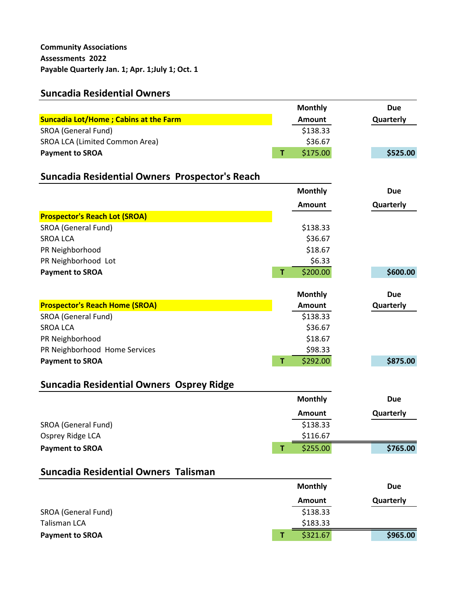# **Suncadia Residential Owners**

|                                                 |   | <b>Monthly</b> | <b>Due</b> |
|-------------------------------------------------|---|----------------|------------|
| <b>Suncadia Lot/Home; Cabins at the Farm</b>    |   | <b>Amount</b>  | Quarterly  |
| SROA (General Fund)                             |   | \$138.33       |            |
| SROA LCA (Limited Common Area)                  |   | \$36.67        |            |
| <b>Payment to SROA</b>                          | T | \$175.00       | \$525.00   |
|                                                 |   |                |            |
| Suncadia Residential Owners Prospector's Reach  |   |                |            |
|                                                 |   | <b>Monthly</b> | <b>Due</b> |
|                                                 |   | <b>Amount</b>  | Quarterly  |
| <b>Prospector's Reach Lot (SROA)</b>            |   |                |            |
| SROA (General Fund)                             |   | \$138.33       |            |
| <b>SROA LCA</b>                                 |   | \$36.67        |            |
| PR Neighborhood                                 |   | \$18.67        |            |
| PR Neighborhood Lot                             |   | \$6.33         |            |
| <b>Payment to SROA</b>                          | T | \$200.00       | \$600.00   |
|                                                 |   |                |            |
|                                                 |   | <b>Monthly</b> | <b>Due</b> |
| <b>Prospector's Reach Home (SROA)</b>           |   | <b>Amount</b>  | Quarterly  |
| SROA (General Fund)                             |   | \$138.33       |            |
| <b>SROA LCA</b>                                 |   | \$36.67        |            |
| PR Neighborhood                                 |   | \$18.67        |            |
| PR Neighborhood Home Services                   |   | \$98.33        |            |
| <b>Payment to SROA</b>                          | T | \$292.00       | \$875.00   |
| <b>Suncadia Residential Owners Osprey Ridge</b> |   |                |            |
|                                                 |   | <b>Monthly</b> | <b>Due</b> |
|                                                 |   | <b>Amount</b>  |            |
| SROA (General Fund)                             |   | \$138.33       | Quarterly  |
| Osprey Ridge LCA                                |   | \$116.67       |            |
| <b>Payment to SROA</b>                          | т | \$255.00       | \$765.00   |
|                                                 |   |                |            |
| Suncadia Residential Owners Talisman            |   |                |            |
|                                                 |   | <b>Monthly</b> | <b>Due</b> |
|                                                 |   | <b>Amount</b>  | Quarterly  |
| SROA (General Fund)                             |   | \$138.33       |            |
| <b>Talisman LCA</b>                             |   | \$183.33       |            |
| <b>Payment to SROA</b>                          | T | \$321.67       | \$965.00   |
|                                                 |   |                |            |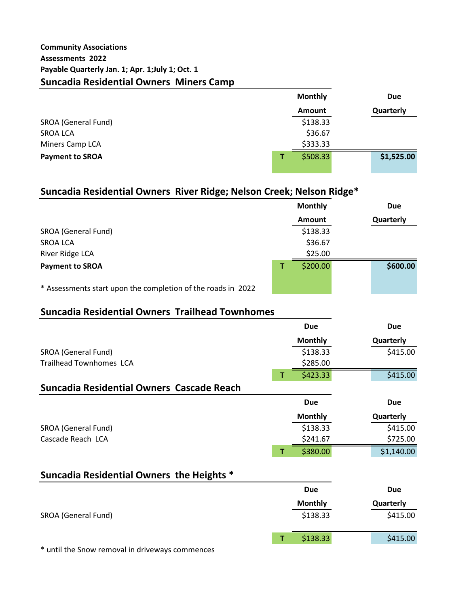|                        | <b>Monthly</b> | <b>Due</b> |
|------------------------|----------------|------------|
|                        | <b>Amount</b>  | Quarterly  |
| SROA (General Fund)    | \$138.33       |            |
| <b>SROA LCA</b>        | \$36.67        |            |
| Miners Camp LCA        | \$333.33       |            |
| <b>Payment to SROA</b> | \$508.33       | \$1,525.00 |
|                        |                |            |

# **Suncadia Residential Owners River Ridge; Nelson Creek; Nelson Ridge\***

|                                                              | <b>Monthly</b> | <b>Due</b> |
|--------------------------------------------------------------|----------------|------------|
|                                                              | <b>Amount</b>  | Quarterly  |
| SROA (General Fund)                                          | \$138.33       |            |
| <b>SROA LCA</b>                                              | \$36.67        |            |
| River Ridge LCA                                              | \$25.00        |            |
| <b>Payment to SROA</b>                                       | \$200.00       | \$600.00   |
| * Assessments start upon the completion of the roads in 2022 |                |            |

## **Suncadia Residential Owners Trailhead Townhomes**

|                                           |   | <b>Due</b>     | <b>Due</b> |
|-------------------------------------------|---|----------------|------------|
|                                           |   | <b>Monthly</b> | Quarterly  |
| SROA (General Fund)                       |   | \$138.33       | \$415.00   |
| <b>Trailhead Townhomes LCA</b>            |   | \$285.00       |            |
|                                           | т | \$423.33       | \$415.00   |
| Suncadia Residential Owners Cascade Reach |   |                |            |
|                                           |   | <b>Due</b>     | <b>Due</b> |
|                                           |   |                |            |
|                                           |   | <b>Monthly</b> | Quarterly  |
| SROA (General Fund)                       |   | \$138.33       | \$415.00   |
| Cascade Reach LCA                         |   | \$241.67       | \$725.00   |
|                                           | т | \$380.00       | \$1,140.00 |

## **Suncadia Residential Owners the Heights \***

|                                                   | Due            | <b>Due</b> |
|---------------------------------------------------|----------------|------------|
|                                                   | <b>Monthly</b> | Quarterly  |
| SROA (General Fund)                               | \$138.33       | \$415.00   |
|                                                   | \$138.33       | \$415.00   |
| $*$ until the Cnow removal in driveweve commences |                |            |

until the Snow removal in driveways commences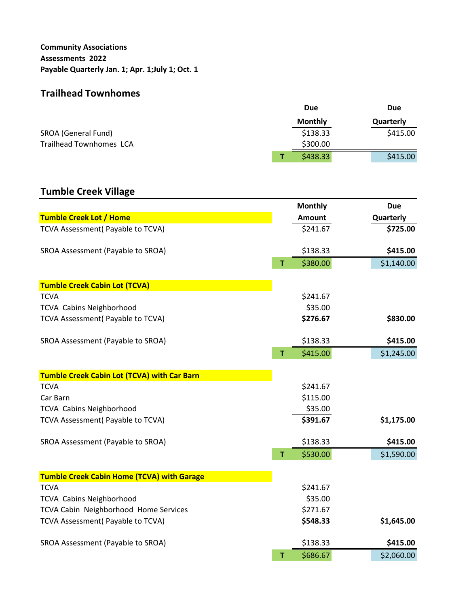## **Trailhead Townhomes**

|                                | <b>Due</b>     | <b>Due</b> |
|--------------------------------|----------------|------------|
|                                | <b>Monthly</b> | Quarterly  |
| SROA (General Fund)            | \$138.33       | \$415.00   |
| <b>Trailhead Townhomes LCA</b> | \$300.00       |            |
|                                | \$438.33       | \$415.00   |

# **Tumble Creek Village**

|                                                    |    | <b>Monthly</b> | <b>Due</b> |  |
|----------------------------------------------------|----|----------------|------------|--|
| <b>Tumble Creek Lot / Home</b>                     |    | <b>Amount</b>  | Quarterly  |  |
| TCVA Assessment( Payable to TCVA)                  |    | \$241.67       | \$725.00   |  |
| SROA Assessment (Payable to SROA)                  |    | \$138.33       | \$415.00   |  |
|                                                    | Ť  | \$380.00       | \$1,140.00 |  |
| <b>Tumble Creek Cabin Lot (TCVA)</b>               |    |                |            |  |
| <b>TCVA</b>                                        |    | \$241.67       |            |  |
| <b>TCVA Cabins Neighborhood</b>                    |    | \$35.00        |            |  |
| TCVA Assessment( Payable to TCVA)                  |    | \$276.67       | \$830.00   |  |
| SROA Assessment (Payable to SROA)                  |    | \$138.33       | \$415.00   |  |
|                                                    | T  | \$415.00       | \$1,245.00 |  |
| <b>Tumble Creek Cabin Lot (TCVA) with Car Barn</b> |    |                |            |  |
| <b>TCVA</b>                                        |    | \$241.67       |            |  |
| Car Barn                                           |    | \$115.00       |            |  |
| <b>TCVA Cabins Neighborhood</b>                    |    | \$35.00        |            |  |
| TCVA Assessment( Payable to TCVA)                  |    | \$391.67       | \$1,175.00 |  |
| SROA Assessment (Payable to SROA)                  |    | \$138.33       | \$415.00   |  |
|                                                    | Ť. | \$530.00       | \$1,590.00 |  |
| <b>Tumble Creek Cabin Home (TCVA) with Garage</b>  |    |                |            |  |
| <b>TCVA</b>                                        |    | \$241.67       |            |  |
| <b>TCVA Cabins Neighborhood</b>                    |    | \$35.00        |            |  |
| TCVA Cabin Neighborhood Home Services              |    | \$271.67       |            |  |
| TCVA Assessment( Payable to TCVA)                  |    | \$548.33       | \$1,645.00 |  |
| SROA Assessment (Payable to SROA)                  |    | \$138.33       | \$415.00   |  |
|                                                    | T  | \$686.67       | \$2,060.00 |  |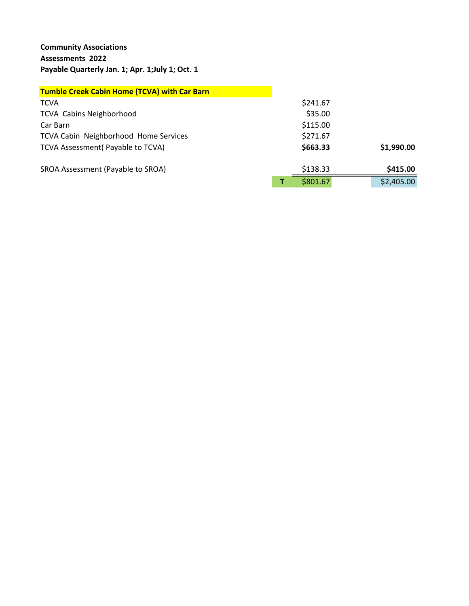## **Community Associations Assessments 2022 Payable Quarterly Jan. 1; Apr. 1;July 1; Oct. 1**

| <b>Tumble Creek Cabin Home (TCVA) with Car Barn</b> |          |            |
|-----------------------------------------------------|----------|------------|
| <b>TCVA</b>                                         | \$241.67 |            |
| <b>TCVA Cabins Neighborhood</b>                     | \$35.00  |            |
| Car Barn                                            | \$115.00 |            |
| <b>TCVA Cabin Neighborhood Home Services</b>        | \$271.67 |            |
| TCVA Assessment (Payable to TCVA)                   | \$663.33 | \$1,990.00 |
| SROA Assessment (Payable to SROA)                   | \$138.33 | \$415.00   |
|                                                     | \$801.67 | \$2,405.00 |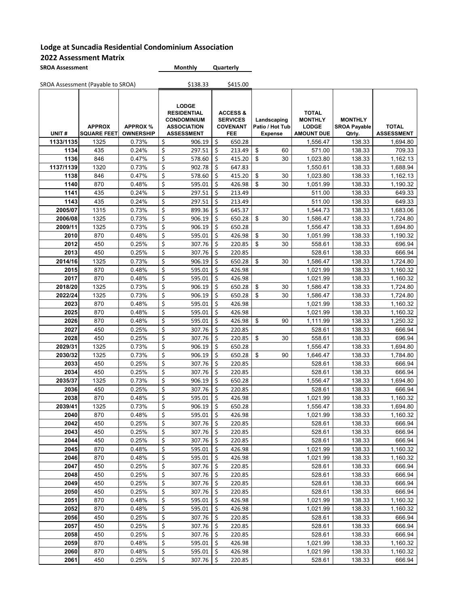| <b>SROA Assessment</b> | <b>Monthly</b> | Quarterly |
|------------------------|----------------|-----------|
|                        |                |           |

|                 | SROA Assessment (Payable to SROA)   |                                     |          | \$138.33                                                                                            |          | \$415.00                                                         |                                                  |                                                                     |                                                 |                                   |
|-----------------|-------------------------------------|-------------------------------------|----------|-----------------------------------------------------------------------------------------------------|----------|------------------------------------------------------------------|--------------------------------------------------|---------------------------------------------------------------------|-------------------------------------------------|-----------------------------------|
| UNIT#           | <b>APPROX</b><br><b>SQUARE FEET</b> | <b>APPROX %</b><br><b>OWNERSHIP</b> |          | <b>LODGE</b><br><b>RESIDENTIAL</b><br><b>CONDOMINIUM</b><br><b>ASSOCIATION</b><br><b>ASSESSMENT</b> |          | <b>ACCESS &amp;</b><br><b>SERVICES</b><br><b>COVENANT</b><br>FEE | Landscaping<br>Patio / Hot Tub<br><b>Expense</b> | <b>TOTAL</b><br><b>MONTHLY</b><br><b>LODGE</b><br><b>AMOUNT DUE</b> | <b>MONTHLY</b><br><b>SROA Payable</b><br>Qtrly. | <b>TOTAL</b><br><b>ASSESSMENT</b> |
| 1133/1135       | 1325                                | 0.73%                               | \$       | 906.19                                                                                              | \$       | 650.28                                                           |                                                  | 1,556.47                                                            | 138.33                                          | 1,694.80                          |
| 1134            | 435                                 | 0.24%                               | \$       | 297.51                                                                                              | \$       | 213.49                                                           | \$<br>60                                         | 571.00                                                              | 138.33                                          | 709.33                            |
| 1136            | 846                                 | 0.47%                               | \$       | 578.60                                                                                              | \$       | 415.20                                                           | \$<br>30                                         | 1,023.80                                                            | 138.33                                          | 1,162.13                          |
| 1137/1139       | 1320                                | 0.73%                               | \$       | 902.78                                                                                              | \$       | 647.83                                                           |                                                  | 1,550.61                                                            | 138.33                                          | 1,688.94                          |
| 1138            | 846                                 | 0.47%                               | \$       | 578.60                                                                                              | \$       | 415.20                                                           | \$<br>30                                         | 1,023.80                                                            | 138.33                                          | 1,162.13                          |
| 1140            | 870                                 | 0.48%                               | \$       | 595.01                                                                                              | \$       | 426.98                                                           | \$<br>30                                         | 1,051.99                                                            | 138.33                                          | 1,190.32                          |
| 1141            | 435                                 | 0.24%                               | \$       | 297.51                                                                                              | \$       | 213.49                                                           |                                                  | 511.00                                                              | 138.33                                          | 649.33                            |
| 1143            | 435                                 | 0.24%                               | \$       | 297.51                                                                                              | \$       | 213.49                                                           |                                                  | 511.00                                                              | 138.33                                          | 649.33                            |
| 2005/07         | 1315                                | 0.73%                               | \$       | 899.36                                                                                              | \$       | 645.37                                                           |                                                  | 1,544.73                                                            | 138.33                                          | 1,683.06                          |
| 2006/08         | 1325                                | 0.73%                               | \$       | 906.19                                                                                              | \$       | 650.28                                                           | \$<br>30                                         | 1,586.47                                                            | 138.33                                          | 1,724.80                          |
| 2009/11         | 1325                                | 0.73%                               | \$       | 906.19                                                                                              | \$       | 650.28                                                           |                                                  | 1,556.47                                                            | 138.33                                          | 1,694.80                          |
| 2010            | 870                                 | 0.48%                               | \$       | 595.01                                                                                              | \$       | 426.98                                                           | \$<br>30                                         | 1,051.99                                                            | 138.33                                          | 1,190.32                          |
| 2012            | 450                                 | 0.25%                               | \$       | 307.76                                                                                              | \$       | 220.85                                                           | \$<br>30                                         | 558.61                                                              | 138.33                                          | 696.94                            |
| 2013            | 450                                 | 0.25%                               | \$       | 307.76                                                                                              | \$       | 220.85                                                           |                                                  | 528.61                                                              | 138.33                                          | 666.94                            |
| 2014/16         | 1325                                | 0.73%                               | \$       | 906.19                                                                                              | \$       | 650.28                                                           | \$<br>30                                         | 1,586.47                                                            | 138.33                                          | 1,724.80                          |
| 2015            | 870                                 | 0.48%                               | \$       | 595.01                                                                                              | \$       | 426.98                                                           |                                                  | 1,021.99                                                            | 138.33                                          | 1,160.32                          |
| 2017            | 870                                 | 0.48%                               | \$       | 595.01                                                                                              | \$       | 426.98                                                           |                                                  | 1,021.99                                                            | 138.33                                          | 1,160.32                          |
| 2018/20         | 1325                                | 0.73%                               | \$       | 906.19                                                                                              | \$       | 650.28                                                           | \$<br>30                                         | 1,586.47                                                            | 138.33                                          | 1,724.80                          |
| 2022/24         | 1325                                | 0.73%                               | \$       | 906.19                                                                                              | Ś.       | 650.28                                                           | \$<br>30                                         | 1,586.47                                                            | 138.33                                          | 1,724.80                          |
| 2023            | 870                                 | 0.48%                               | \$       | 595.01                                                                                              | \$       | 426.98                                                           |                                                  | 1,021.99                                                            | 138.33                                          | 1,160.32                          |
| 2025            | 870                                 | 0.48%                               | \$       | 595.01                                                                                              | \$       | 426.98                                                           |                                                  | 1,021.99                                                            | 138.33                                          | 1,160.32                          |
| 2026            | 870                                 | 0.48%                               | \$       | 595.01                                                                                              | \$       | 426.98                                                           | \$<br>90                                         | 1,111.99                                                            | 138.33                                          | 1,250.32                          |
| 2027            | 450                                 | 0.25%                               | \$       | 307.76                                                                                              | \$       | 220.85                                                           |                                                  | 528.61                                                              | 138.33                                          | 666.94                            |
| 2028            | 450                                 | 0.25%                               | \$       | 307.76                                                                                              | \$       | 220.85                                                           | \$<br>30                                         | 558.61                                                              | 138.33                                          | 696.94                            |
| 2029/31         | 1325                                | 0.73%                               | \$       | 906.19                                                                                              | \$       | 650.28                                                           |                                                  | 1,556.47                                                            | 138.33                                          | 1,694.80                          |
| 2030/32         | 1325                                | 0.73%                               | \$       | 906.19                                                                                              | Ś.       | 650.28                                                           | \$<br>90                                         | 1,646.47                                                            | 138.33                                          | 1,784.80                          |
| 2033            | 450                                 | 0.25%                               | \$       | 307.76                                                                                              | \$       | 220.85                                                           |                                                  | 528.61                                                              | 138.33                                          | 666.94                            |
| 2034            | 450                                 | 0.25%                               | \$       | 307.76                                                                                              | \$       | 220.85                                                           |                                                  | 528.61                                                              | 138.33                                          | 666.94                            |
| 2035/37<br>2036 | 1325<br>450                         | 0.73%<br>0.25%                      | \$<br>\$ | 906.19<br>307.76                                                                                    | \$<br>\$ | 650.28<br>220.85                                                 |                                                  | 1,556.47<br>528.61                                                  | 138.33<br>138.33                                | 1,694.80<br>666.94                |
| 2038            | 870                                 | 0.48%                               | \$       | 595.01                                                                                              | \$       | 426.98                                                           |                                                  | 1,021.99                                                            | 138.33                                          | 1,160.32                          |
| 2039/41         | 1325                                | 0.73%                               | \$       | 906.19                                                                                              | \$       | 650.28                                                           |                                                  | 1,556.47                                                            | 138.33                                          | 1,694.80                          |
| 2040            | 870                                 | 0.48%                               | \$       | 595.01                                                                                              | \$       | 426.98                                                           |                                                  | 1,021.99                                                            | 138.33                                          | 1,160.32                          |
| 2042            | 450                                 | 0.25%                               | \$       | 307.76                                                                                              | \$       | 220.85                                                           |                                                  | 528.61                                                              | 138.33                                          | 666.94                            |
| 2043            | 450                                 | 0.25%                               | \$       | 307.76                                                                                              | \$       | 220.85                                                           |                                                  | 528.61                                                              | 138.33                                          | 666.94                            |
| 2044            | 450                                 | 0.25%                               | \$       | 307.76                                                                                              | \$       | 220.85                                                           |                                                  | 528.61                                                              | 138.33                                          | 666.94                            |
| 2045            | 870                                 | 0.48%                               | \$       | 595.01                                                                                              | \$       | 426.98                                                           |                                                  | 1,021.99                                                            | 138.33                                          | 1,160.32                          |
| 2046            | 870                                 | 0.48%                               | \$       | 595.01                                                                                              | \$       | 426.98                                                           |                                                  | 1,021.99                                                            | 138.33                                          | 1,160.32                          |
| 2047            | 450                                 | 0.25%                               | \$       | 307.76                                                                                              | \$       | 220.85                                                           |                                                  | 528.61                                                              | 138.33                                          | 666.94                            |
| 2048            | 450                                 | 0.25%                               | \$       | 307.76                                                                                              | \$       | 220.85                                                           |                                                  | 528.61                                                              | 138.33                                          | 666.94                            |
| 2049            | 450                                 | 0.25%                               | \$       | 307.76                                                                                              | \$       | 220.85                                                           |                                                  | 528.61                                                              | 138.33                                          | 666.94                            |
| 2050            | 450                                 | 0.25%                               | \$       | 307.76                                                                                              | \$       | 220.85                                                           |                                                  | 528.61                                                              | 138.33                                          | 666.94                            |
| 2051            | 870                                 | 0.48%                               | \$       | 595.01                                                                                              | \$       | 426.98                                                           |                                                  | 1,021.99                                                            | 138.33                                          | 1,160.32                          |
| 2052            | 870                                 | 0.48%                               | \$       | 595.01                                                                                              | \$       | 426.98                                                           |                                                  | 1,021.99                                                            | 138.33                                          | 1,160.32                          |
| 2056            | 450                                 | 0.25%                               | \$       | 307.76                                                                                              | \$       | 220.85                                                           |                                                  | 528.61                                                              | 138.33                                          | 666.94                            |
| 2057            | 450                                 | 0.25%                               | \$       | 307.76                                                                                              | Ś        | 220.85                                                           |                                                  | 528.61                                                              | 138.33                                          | 666.94                            |
| 2058            | 450                                 | 0.25%                               | \$       | 307.76                                                                                              | Ŝ.       | 220.85                                                           |                                                  | 528.61                                                              | 138.33                                          | 666.94                            |
| 2059            | 870                                 | 0.48%                               | \$       | 595.01                                                                                              | \$       | 426.98                                                           |                                                  | 1,021.99                                                            | 138.33                                          | 1,160.32                          |
| 2060            | 870                                 | 0.48%                               | \$       | 595.01                                                                                              | \$       | 426.98                                                           |                                                  | 1,021.99                                                            | 138.33                                          | 1,160.32                          |
| 2061            | 450                                 | 0.25%                               | \$       | 307.76                                                                                              | Ŝ.       | 220.85                                                           |                                                  | 528.61                                                              | 138.33                                          | 666.94                            |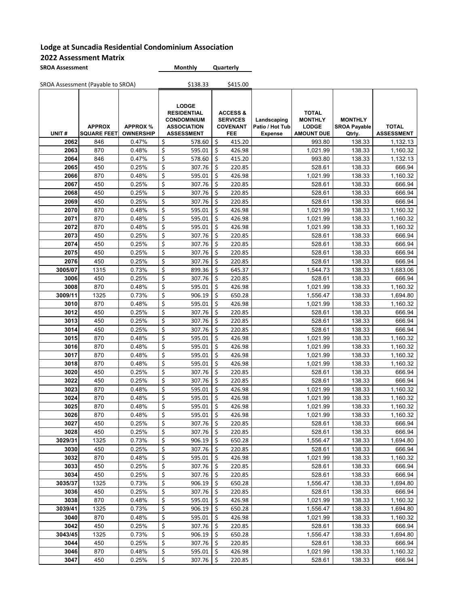| <b>SROA Assessment</b> | <b>Monthly</b> | Quarterly |
|------------------------|----------------|-----------|
|                        |                |           |

|              | SROA Assessment (Payable to SROA)   |                                     |          | \$138.33                                                                                            |           | \$415.00                                                         |                                                  |                                                                     |                                                 |                                   |
|--------------|-------------------------------------|-------------------------------------|----------|-----------------------------------------------------------------------------------------------------|-----------|------------------------------------------------------------------|--------------------------------------------------|---------------------------------------------------------------------|-------------------------------------------------|-----------------------------------|
| UNIT#        | <b>APPROX</b><br><b>SQUARE FEET</b> | <b>APPROX %</b><br><b>OWNERSHIP</b> |          | <b>LODGE</b><br><b>RESIDENTIAL</b><br><b>CONDOMINIUM</b><br><b>ASSOCIATION</b><br><b>ASSESSMENT</b> |           | <b>ACCESS &amp;</b><br><b>SERVICES</b><br><b>COVENANT</b><br>FEE | Landscaping<br>Patio / Hot Tub<br><b>Expense</b> | <b>TOTAL</b><br><b>MONTHLY</b><br><b>LODGE</b><br><b>AMOUNT DUE</b> | <b>MONTHLY</b><br><b>SROA Payable</b><br>Qtrly. | <b>TOTAL</b><br><b>ASSESSMENT</b> |
| 2062         | 846                                 | 0.47%                               | \$       | 578.60                                                                                              | \$        | 415.20                                                           |                                                  | 993.80                                                              | 138.33                                          | 1,132.13                          |
| 2063         | 870                                 | 0.48%                               | \$       | 595.01                                                                                              | \$        | 426.98                                                           |                                                  | 1,021.99                                                            | 138.33                                          | 1,160.32                          |
| 2064         | 846                                 | 0.47%                               | \$       | 578.60                                                                                              | \$        | 415.20                                                           |                                                  | 993.80                                                              | 138.33                                          | 1,132.13                          |
| 2065         | 450                                 | 0.25%                               | \$       | 307.76                                                                                              | \$        | 220.85                                                           |                                                  | 528.61                                                              | 138.33                                          | 666.94                            |
| 2066         | 870                                 | 0.48%                               | \$       | 595.01                                                                                              | \$        | 426.98                                                           |                                                  | 1,021.99                                                            | 138.33                                          | 1,160.32                          |
| 2067         | 450                                 | 0.25%                               | \$       | 307.76                                                                                              | \$        | 220.85                                                           |                                                  | 528.61                                                              | 138.33                                          | 666.94                            |
| 2068         | 450                                 | 0.25%                               | \$       | 307.76                                                                                              | \$        | 220.85                                                           |                                                  | 528.61                                                              | 138.33                                          | 666.94                            |
| 2069         | 450                                 | 0.25%                               | \$       | 307.76                                                                                              | \$        | 220.85                                                           |                                                  | 528.61                                                              | 138.33                                          | 666.94                            |
| 2070         | 870                                 | 0.48%                               | \$       | 595.01                                                                                              | \$        | 426.98                                                           |                                                  | 1,021.99                                                            | 138.33                                          | 1,160.32                          |
| 2071         | 870                                 | 0.48%                               | \$       | 595.01                                                                                              | Ś         | 426.98                                                           |                                                  | 1,021.99                                                            | 138.33                                          | 1,160.32                          |
| 2072         | 870                                 | 0.48%                               | \$       | 595.01                                                                                              | \$        | 426.98                                                           |                                                  | 1,021.99                                                            | 138.33                                          | 1,160.32                          |
| 2073         | 450                                 | 0.25%                               | \$       | 307.76                                                                                              | \$        | 220.85                                                           |                                                  | 528.61                                                              | 138.33                                          | 666.94                            |
| 2074         | 450                                 | 0.25%                               | \$       | 307.76                                                                                              | \$        | 220.85                                                           |                                                  | 528.61                                                              | 138.33                                          | 666.94                            |
| 2075         | 450                                 | 0.25%                               | \$       | 307.76                                                                                              | \$        | 220.85                                                           |                                                  | 528.61                                                              | 138.33                                          | 666.94                            |
| 2076         | 450                                 | 0.25%                               | \$       | 307.76                                                                                              | \$        | 220.85                                                           |                                                  | 528.61                                                              | 138.33                                          | 666.94                            |
| 3005/07      | 1315                                | 0.73%                               | \$       | 899.36                                                                                              | \$        | 645.37                                                           |                                                  | 1,544.73                                                            | 138.33                                          | 1,683.06                          |
| 3006         | 450                                 | 0.25%                               | \$       | 307.76                                                                                              | \$        | 220.85                                                           |                                                  | 528.61                                                              | 138.33                                          | 666.94                            |
| 3008         | 870                                 | 0.48%                               | \$       | 595.01                                                                                              | \$        | 426.98                                                           |                                                  | 1,021.99                                                            | 138.33                                          | 1,160.32                          |
| 3009/11      | 1325                                | 0.73%                               | \$       | 906.19                                                                                              | \$        | 650.28                                                           |                                                  | 1,556.47                                                            | 138.33                                          | 1,694.80                          |
| 3010         | 870                                 | 0.48%                               | \$       | 595.01                                                                                              | \$        | 426.98                                                           |                                                  | 1,021.99                                                            | 138.33                                          | 1,160.32                          |
| 3012         | 450                                 | 0.25%                               | \$       | 307.76                                                                                              | \$        | 220.85                                                           |                                                  | 528.61                                                              | 138.33                                          | 666.94                            |
| 3013         | 450                                 | 0.25%                               | \$       | 307.76                                                                                              | \$        | 220.85                                                           |                                                  | 528.61                                                              | 138.33                                          | 666.94                            |
| 3014         | 450                                 | 0.25%                               | \$       | 307.76                                                                                              | \$        | 220.85                                                           |                                                  | 528.61                                                              | 138.33                                          | 666.94                            |
| 3015         | 870                                 | 0.48%                               | \$       | 595.01                                                                                              | \$        | 426.98                                                           |                                                  | 1,021.99                                                            | 138.33                                          | 1,160.32                          |
| 3016         | 870                                 | 0.48%                               | \$       | 595.01                                                                                              | \$        | 426.98                                                           |                                                  | 1,021.99                                                            | 138.33                                          | 1,160.32                          |
| 3017         | 870                                 | 0.48%                               | \$       | 595.01                                                                                              | \$        | 426.98                                                           |                                                  | 1,021.99                                                            | 138.33                                          | 1,160.32                          |
| 3018         | 870                                 | 0.48%                               | \$       | 595.01                                                                                              | \$        | 426.98                                                           |                                                  | 1,021.99                                                            | 138.33                                          | 1,160.32                          |
| 3020         | 450                                 | 0.25%                               | \$       | 307.76                                                                                              | \$        | 220.85                                                           |                                                  | 528.61                                                              | 138.33                                          | 666.94                            |
| 3022         | 450<br>870                          | 0.25%                               | \$<br>\$ | 307.76                                                                                              | \$        | 220.85                                                           |                                                  | 528.61                                                              | 138.33<br>138.33                                | 666.94                            |
| 3023         |                                     | 0.48%                               |          | 595.01                                                                                              | \$        | 426.98                                                           |                                                  | 1,021.99                                                            |                                                 | 1,160.32                          |
| 3024         | 870                                 | 0.48%                               | \$<br>\$ | 595.01                                                                                              | \$<br>\$  | 426.98                                                           |                                                  | 1,021.99                                                            | 138.33                                          | 1,160.32                          |
| 3025<br>3026 | 870<br>870                          | 0.48%<br>0.48%                      | \$       | 595.01<br>595.01                                                                                    | \$        | 426.98<br>426.98                                                 |                                                  | 1,021.99<br>1,021.99                                                | 138.33<br>138.33                                | 1,160.32<br>1,160.32              |
| 3027         |                                     | 0.25%                               | \$       | 307.76                                                                                              |           | 220.85                                                           |                                                  | 528.61                                                              | 138.33                                          | 666.94                            |
| 3028         | 450<br>450                          | 0.25%                               | \$       | 307.76                                                                                              | \$.<br>\$ | 220.85                                                           |                                                  | 528.61                                                              | 138.33                                          | 666.94                            |
| 3029/31      | 1325                                | 0.73%                               | \$       | 906.19                                                                                              | \$        | 650.28                                                           |                                                  | 1,556.47                                                            | 138.33                                          | 1,694.80                          |
| 3030         | 450                                 | 0.25%                               | \$       | 307.76                                                                                              | \$        | 220.85                                                           |                                                  | 528.61                                                              | 138.33                                          | 666.94                            |
| 3032         | 870                                 | 0.48%                               | \$       | 595.01                                                                                              | \$        | 426.98                                                           |                                                  | 1,021.99                                                            | 138.33                                          | 1,160.32                          |
| 3033         | 450                                 | 0.25%                               | \$       | 307.76                                                                                              | \$        | 220.85                                                           |                                                  | 528.61                                                              | 138.33                                          | 666.94                            |
| 3034         | 450                                 | 0.25%                               | \$       | 307.76                                                                                              | \$        | 220.85                                                           |                                                  | 528.61                                                              | 138.33                                          | 666.94                            |
| 3035/37      | 1325                                | 0.73%                               | \$       | 906.19                                                                                              | \$        | 650.28                                                           |                                                  | 1,556.47                                                            | 138.33                                          | 1,694.80                          |
| 3036         | 450                                 | 0.25%                               | \$       | 307.76                                                                                              | \$        | 220.85                                                           |                                                  | 528.61                                                              | 138.33                                          | 666.94                            |
| 3038         | 870                                 | 0.48%                               | \$       | 595.01                                                                                              | \$        | 426.98                                                           |                                                  | 1,021.99                                                            | 138.33                                          | 1,160.32                          |
| 3039/41      | 1325                                | 0.73%                               | \$       | 906.19                                                                                              | \$        | 650.28                                                           |                                                  | 1,556.47                                                            | 138.33                                          | 1,694.80                          |
| 3040         | 870                                 | 0.48%                               | \$       | 595.01                                                                                              | \$        | 426.98                                                           |                                                  | 1,021.99                                                            | 138.33                                          | 1,160.32                          |
| 3042         | 450                                 | 0.25%                               | \$       | 307.76                                                                                              | \$        | 220.85                                                           |                                                  | 528.61                                                              | 138.33                                          | 666.94                            |
| 3043/45      | 1325                                | 0.73%                               | \$       | 906.19                                                                                              | \$        | 650.28                                                           |                                                  | 1,556.47                                                            | 138.33                                          | 1,694.80                          |
| 3044         | 450                                 | 0.25%                               | \$       | 307.76                                                                                              | \$        | 220.85                                                           |                                                  | 528.61                                                              | 138.33                                          | 666.94                            |
| 3046         | 870                                 | 0.48%                               | \$       | 595.01                                                                                              | \$        | 426.98                                                           |                                                  | 1,021.99                                                            | 138.33                                          | 1,160.32                          |
| 3047         | 450                                 | 0.25%                               | \$       | 307.76                                                                                              | \$        | 220.85                                                           |                                                  | 528.61                                                              | 138.33                                          | 666.94                            |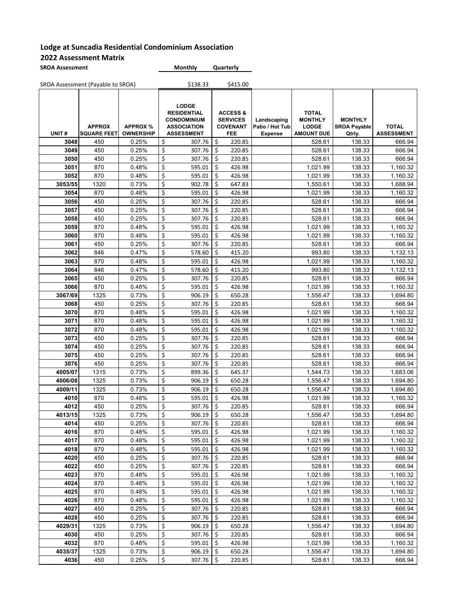| <b>SROA Assessment</b> | <b>Monthly</b> | Quarterly |
|------------------------|----------------|-----------|
|                        |                |           |

|              | SROA Assessment (Payable to SROA)   |                                     |                         | \$138.33                                                                                            |          | \$415.00                                                         |                                                  |                                                                     |                                                 |                                   |
|--------------|-------------------------------------|-------------------------------------|-------------------------|-----------------------------------------------------------------------------------------------------|----------|------------------------------------------------------------------|--------------------------------------------------|---------------------------------------------------------------------|-------------------------------------------------|-----------------------------------|
| UNIT#        | <b>APPROX</b><br><b>SQUARE FEET</b> | <b>APPROX %</b><br><b>OWNERSHIP</b> |                         | <b>LODGE</b><br><b>RESIDENTIAL</b><br><b>CONDOMINIUM</b><br><b>ASSOCIATION</b><br><b>ASSESSMENT</b> |          | <b>ACCESS &amp;</b><br><b>SERVICES</b><br><b>COVENANT</b><br>FEE | Landscaping<br>Patio / Hot Tub<br><b>Expense</b> | <b>TOTAL</b><br><b>MONTHLY</b><br><b>LODGE</b><br><b>AMOUNT DUE</b> | <b>MONTHLY</b><br><b>SROA Payable</b><br>Qtrly. | <b>TOTAL</b><br><b>ASSESSMENT</b> |
| 3048         | 450                                 | 0.25%                               | \$                      | 307.76                                                                                              | \$       | 220.85                                                           |                                                  | 528.61                                                              | 138.33                                          | 666.94                            |
| 3049         | 450                                 | 0.25%                               | \$                      | 307.76                                                                                              | \$       | 220.85                                                           |                                                  | 528.61                                                              | 138.33                                          | 666.94                            |
| 3050         | 450                                 | 0.25%                               | \$                      | 307.76                                                                                              | Ś.       | 220.85                                                           |                                                  | 528.61                                                              | 138.33                                          | 666.94                            |
| 3051         | 870                                 | 0.48%                               | \$                      | 595.01                                                                                              | \$       | 426.98                                                           |                                                  | 1,021.99                                                            | 138.33                                          | 1,160.32                          |
| 3052         | 870                                 | 0.48%                               | \$                      | 595.01                                                                                              | \$       | 426.98                                                           |                                                  | 1,021.99                                                            | 138.33                                          | 1,160.32                          |
| 3053/55      | 1320                                | 0.73%                               | \$                      | 902.78                                                                                              | \$       | 647.83                                                           |                                                  | 1,550.61                                                            | 138.33                                          | 1,688.94                          |
| 3054         | 870                                 | 0.48%                               | \$                      | 595.01                                                                                              | \$       | 426.98                                                           |                                                  | 1,021.99                                                            | 138.33                                          | 1,160.32                          |
| 3056         | 450                                 | 0.25%                               | \$                      | 307.76                                                                                              | \$       | 220.85                                                           |                                                  | 528.61                                                              | 138.33                                          | 666.94                            |
| 3057         | 450                                 | 0.25%                               | $\overline{\mathsf{S}}$ | 307.76                                                                                              | \$       | 220.85                                                           |                                                  | 528.61                                                              | 138.33                                          | 666.94                            |
| 3058         | 450                                 | 0.25%                               | $\overline{\xi}$        | 307.76                                                                                              | Ś.       | 220.85                                                           |                                                  | 528.61                                                              | 138.33                                          | 666.94                            |
| 3059         | 870                                 | 0.48%                               | \$                      | 595.01                                                                                              | \$       | 426.98                                                           |                                                  | 1,021.99                                                            | 138.33                                          | 1,160.32                          |
| 3060         | 870                                 | 0.48%                               | \$                      | 595.01                                                                                              | \$       | 426.98                                                           |                                                  | 1,021.99                                                            | 138.33                                          | 1,160.32                          |
| 3061         | 450                                 | 0.25%                               | \$                      | 307.76                                                                                              | \$       | 220.85                                                           |                                                  | 528.61                                                              | 138.33                                          | 666.94                            |
| 3062         | 846                                 | 0.47%                               | \$                      | 578.60                                                                                              | \$       | 415.20                                                           |                                                  | 993.80                                                              | 138.33                                          | 1,132.13                          |
| 3063         | 870                                 | 0.48%                               | \$                      | 595.01                                                                                              | \$       | 426.98                                                           |                                                  | 1,021.99                                                            | 138.33                                          | 1,160.32                          |
| 3064         | 846                                 | 0.47%                               | $\overline{\mathsf{S}}$ | 578.60                                                                                              | \$       | 415.20                                                           |                                                  | 993.80                                                              | 138.33                                          | 1,132.13                          |
| 3065         | 450                                 | 0.25%                               | \$                      | 307.76                                                                                              | \$       | 220.85                                                           |                                                  | 528.61                                                              | 138.33                                          | 666.94                            |
| 3066         | 870                                 | 0.48%                               | \$                      | 595.01                                                                                              | \$       | 426.98                                                           |                                                  | 1,021.99                                                            | 138.33                                          | 1,160.32                          |
| 3067/69      | 1325                                | 0.73%                               | \$                      | 906.19                                                                                              | \$       | 650.28                                                           |                                                  | 1,556.47                                                            | 138.33                                          | 1,694.80                          |
| 3068         | 450                                 | 0.25%                               | \$                      | 307.76                                                                                              | \$       | 220.85                                                           |                                                  | 528.61                                                              | 138.33                                          | 666.94                            |
| 3070         | 870                                 | 0.48%                               | \$                      | 595.01                                                                                              | \$       | 426.98                                                           |                                                  | 1,021.99                                                            | 138.33                                          | 1,160.32                          |
| 3071         | 870                                 | 0.48%                               | \$                      | 595.01                                                                                              | \$       | 426.98                                                           |                                                  | 1,021.99                                                            | 138.33                                          | 1,160.32                          |
| 3072         | 870                                 | 0.48%                               | $\overline{\mathsf{S}}$ | 595.01                                                                                              | \$       | 426.98                                                           |                                                  | 1,021.99                                                            | 138.33                                          | 1,160.32                          |
| 3073         | 450                                 | 0.25%                               | \$                      | 307.76                                                                                              | \$       | 220.85                                                           |                                                  | 528.61                                                              | 138.33                                          | 666.94                            |
| 3074         | 450                                 | 0.25%                               | \$                      | 307.76                                                                                              | \$       | 220.85                                                           |                                                  | 528.61                                                              | 138.33                                          | 666.94                            |
| 3075         | 450                                 | 0.25%                               | \$                      | 307.76                                                                                              | \$       | 220.85                                                           |                                                  | 528.61                                                              | 138.33                                          | 666.94                            |
| 3076         | 450                                 | 0.25%                               | \$                      | 307.76                                                                                              | \$       | 220.85                                                           |                                                  | 528.61                                                              | 138.33                                          | 666.94                            |
| 4005/07      | 1315                                | 0.73%                               | \$                      | 899.36                                                                                              | \$       | 645.37                                                           |                                                  | 1,544.73                                                            | 138.33                                          | 1,683.06                          |
| 4006/08      | 1325                                | 0.73%                               | \$                      | 906.19                                                                                              | \$       | 650.28                                                           |                                                  | 1,556.47                                                            | 138.33                                          | 1,694.80                          |
| 4009/11      | 1325                                | 0.73%                               | $\overline{\xi}$        | 906.19                                                                                              | \$       | 650.28                                                           |                                                  | 1,556.47                                                            | 138.33                                          | 1,694.80                          |
| 4010         | 870                                 | 0.48%                               | \$                      | 595.01                                                                                              | \$       | 426.98                                                           |                                                  | 1,021.99                                                            | 138.33                                          | 1,160.32                          |
| 4012         | 450                                 | 0.25%                               | \$                      | 307.76                                                                                              | \$       | 220.85                                                           |                                                  | 528.61                                                              | 138.33                                          | 666.94                            |
| 4013/15      | 1325                                | 0.73%                               | \$                      | 906.19                                                                                              | \$       | 650.28                                                           |                                                  | 1,556.47                                                            | 138.33                                          | 1,694.80                          |
| 4014         | 450                                 | 0.25%                               | \$                      | 307.76                                                                                              | \$.      | 220.85                                                           |                                                  | 528.61                                                              | 138.33                                          | 666.94                            |
| 4016         | 870                                 | 0.48%                               | \$                      | 595.01                                                                                              | \$       | 426.98                                                           |                                                  | 1,021.99                                                            | 138.33                                          | 1,160.32                          |
| 4017         | 870                                 | 0.48%                               | \$                      | 595.01                                                                                              | \$       | 426.98                                                           |                                                  | 1,021.99                                                            | 138.33                                          | 1,160.32                          |
| 4018         | 870                                 | 0.48%                               | \$                      | 595.01                                                                                              | \$       | 426.98                                                           |                                                  | 1,021.99                                                            | 138.33                                          | 1,160.32                          |
| 4020         | 450                                 | 0.25%                               | \$                      | 307.76                                                                                              | \$       | 220.85                                                           |                                                  | 528.61                                                              | 138.33                                          | 666.94                            |
| 4022         | 450                                 | 0.25%                               | \$                      | 307.76<br>595.01                                                                                    | \$       | 220.85                                                           |                                                  | 528.61                                                              | 138.33                                          | 666.94                            |
| 4023         | 870                                 | 0.48%                               | \$                      |                                                                                                     | \$       | 426.98                                                           |                                                  | 1,021.99                                                            | 138.33                                          | 1,160.32                          |
| 4024<br>4025 | 870<br>870                          | 0.48%<br>0.48%                      | \$<br>\$                | 595.01<br>595.01                                                                                    | \$       | 426.98<br>426.98                                                 |                                                  | 1,021.99<br>1,021.99                                                | 138.33                                          | 1,160.32                          |
| 4026         | 870                                 | 0.48%                               | \$                      | 595.01                                                                                              | \$<br>\$ | 426.98                                                           |                                                  | 1,021.99                                                            | 138.33<br>138.33                                | 1,160.32<br>1,160.32              |
| 4027         | 450                                 | 0.25%                               | \$                      | 307.76                                                                                              | \$       | 220.85                                                           |                                                  | 528.61                                                              | 138.33                                          | 666.94                            |
| 4028         | 450                                 | 0.25%                               | \$                      | 307.76                                                                                              | \$       |                                                                  |                                                  |                                                                     |                                                 |                                   |
| 4029/31      |                                     | 0.73%                               | \$                      |                                                                                                     | \$       | 220.85                                                           |                                                  | 528.61                                                              | 138.33                                          | 666.94                            |
| 4030         | 1325<br>450                         | 0.25%                               | \$                      | 906.19<br>307.76                                                                                    | \$       | 650.28<br>220.85                                                 |                                                  | 1,556.47<br>528.61                                                  | 138.33<br>138.33                                | 1,694.80<br>666.94                |
| 4032         | 870                                 | 0.48%                               | \$                      | 595.01                                                                                              | \$       | 426.98                                                           |                                                  | 1,021.99                                                            | 138.33                                          | 1,160.32                          |
| 4035/37      | 1325                                | 0.73%                               | \$                      | 906.19                                                                                              | \$       | 650.28                                                           |                                                  | 1,556.47                                                            | 138.33                                          | 1,694.80                          |
| 4036         | 450                                 | 0.25%                               | \$                      | 307.76                                                                                              | \$       | 220.85                                                           |                                                  | 528.61                                                              | 138.33                                          | 666.94                            |
|              |                                     |                                     |                         |                                                                                                     |          |                                                                  |                                                  |                                                                     |                                                 |                                   |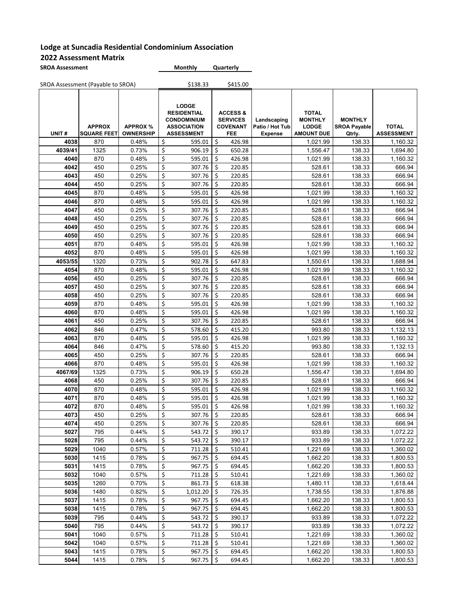| <b>SROA Assessment</b> | <b>Monthly</b> | Quarterly |
|------------------------|----------------|-----------|
|                        |                |           |

|              | SROA Assessment (Payable to SROA)   |                                     |                         | \$138.33                                                                                            |          | \$415.00                                                                |                                                  |                                                                     |                                                 |                                   |
|--------------|-------------------------------------|-------------------------------------|-------------------------|-----------------------------------------------------------------------------------------------------|----------|-------------------------------------------------------------------------|--------------------------------------------------|---------------------------------------------------------------------|-------------------------------------------------|-----------------------------------|
| UNIT#        | <b>APPROX</b><br><b>SQUARE FEET</b> | <b>APPROX %</b><br><b>OWNERSHIP</b> |                         | <b>LODGE</b><br><b>RESIDENTIAL</b><br><b>CONDOMINIUM</b><br><b>ASSOCIATION</b><br><b>ASSESSMENT</b> |          | <b>ACCESS &amp;</b><br><b>SERVICES</b><br><b>COVENANT</b><br><b>FEE</b> | Landscaping<br>Patio / Hot Tub<br><b>Expense</b> | <b>TOTAL</b><br><b>MONTHLY</b><br><b>LODGE</b><br><b>AMOUNT DUE</b> | <b>MONTHLY</b><br><b>SROA Payable</b><br>Qtrly. | <b>TOTAL</b><br><b>ASSESSMENT</b> |
| 4038         | 870                                 | 0.48%                               | \$                      | 595.01                                                                                              | \$       | 426.98                                                                  |                                                  | 1,021.99                                                            | 138.33                                          | 1,160.32                          |
| 4039/41      | 1325                                | 0.73%                               | \$                      | 906.19                                                                                              | \$       | 650.28                                                                  |                                                  | 1,556.47                                                            | 138.33                                          | 1,694.80                          |
| 4040         | 870                                 | 0.48%                               | \$                      | 595.01                                                                                              | \$       | 426.98                                                                  |                                                  | 1,021.99                                                            | 138.33                                          | 1,160.32                          |
| 4042         | 450                                 | 0.25%                               | \$                      | 307.76                                                                                              | \$       | 220.85                                                                  |                                                  | 528.61                                                              | 138.33                                          | 666.94                            |
| 4043         | 450                                 | 0.25%                               | \$                      | 307.76                                                                                              | \$       | 220.85                                                                  |                                                  | 528.61                                                              | 138.33                                          | 666.94                            |
| 4044         | 450                                 | 0.25%                               | \$                      | 307.76                                                                                              | \$       | 220.85                                                                  |                                                  | 528.61                                                              | 138.33                                          | 666.94                            |
| 4045         | 870                                 | 0.48%                               | \$                      | 595.01                                                                                              | \$       | 426.98                                                                  |                                                  | 1,021.99                                                            | 138.33                                          | 1,160.32                          |
| 4046         | 870                                 | 0.48%                               | \$                      | 595.01                                                                                              | \$       | 426.98                                                                  |                                                  | 1,021.99                                                            | 138.33                                          | 1,160.32                          |
| 4047         | 450                                 | 0.25%                               | \$                      | 307.76                                                                                              | \$       | 220.85                                                                  |                                                  | 528.61                                                              | 138.33                                          | 666.94                            |
| 4048         | 450                                 | 0.25%                               | \$                      | 307.76                                                                                              | \$       | 220.85                                                                  |                                                  | 528.61                                                              | 138.33                                          | 666.94                            |
| 4049         | 450                                 | 0.25%                               | \$                      | 307.76                                                                                              | \$       | 220.85                                                                  |                                                  | 528.61                                                              | 138.33                                          | 666.94                            |
| 4050         | 450                                 | 0.25%                               | \$                      | 307.76                                                                                              | \$       | 220.85                                                                  |                                                  | 528.61                                                              | 138.33                                          | 666.94                            |
| 4051         | 870                                 | 0.48%                               | \$                      | 595.01                                                                                              | \$       | 426.98                                                                  |                                                  | 1,021.99                                                            | 138.33                                          | 1,160.32                          |
| 4052         | 870                                 | 0.48%                               | \$                      | 595.01                                                                                              | \$       | 426.98                                                                  |                                                  | 1,021.99                                                            | 138.33                                          | 1,160.32                          |
| 4053/55      | 1320                                | 0.73%                               | \$                      | 902.78                                                                                              | \$       | 647.83                                                                  |                                                  | 1,550.61                                                            | 138.33                                          | 1,688.94                          |
| 4054         | 870                                 | 0.48%                               | \$                      | 595.01                                                                                              | \$       | 426.98                                                                  |                                                  | 1,021.99                                                            | 138.33                                          | 1,160.32                          |
| 4056         | 450                                 | 0.25%                               | \$                      | 307.76                                                                                              | \$       | 220.85                                                                  |                                                  | 528.61                                                              | 138.33                                          | 666.94                            |
| 4057         | 450                                 | 0.25%                               | \$                      | 307.76                                                                                              | \$       | 220.85                                                                  |                                                  | 528.61                                                              | 138.33                                          | 666.94                            |
| 4058         | 450                                 | 0.25%                               | \$                      | 307.76                                                                                              | \$       | 220.85                                                                  |                                                  | 528.61                                                              | 138.33                                          | 666.94                            |
| 4059         | 870                                 | 0.48%                               | \$                      | 595.01                                                                                              | \$       | 426.98                                                                  |                                                  | 1,021.99                                                            | 138.33                                          | 1,160.32                          |
| 4060         | 870                                 | 0.48%                               | \$                      | 595.01                                                                                              | \$       | 426.98                                                                  |                                                  | 1,021.99                                                            | 138.33                                          | 1,160.32                          |
| 4061         | 450                                 | 0.25%                               | \$                      | 307.76                                                                                              | \$       | 220.85                                                                  |                                                  | 528.61                                                              | 138.33                                          | 666.94                            |
| 4062         | 846                                 | 0.47%                               | $\overline{\mathbf{S}}$ | 578.60                                                                                              | \$       | 415.20                                                                  |                                                  | 993.80                                                              | 138.33                                          | 1,132.13                          |
| 4063         | 870                                 | 0.48%                               | \$                      | 595.01                                                                                              | \$       | 426.98                                                                  |                                                  | 1,021.99                                                            | 138.33                                          | 1,160.32                          |
| 4064         | 846                                 | 0.47%                               | \$                      | 578.60                                                                                              | \$       | 415.20                                                                  |                                                  | 993.80                                                              | 138.33                                          | 1,132.13                          |
| 4065         | 450                                 | 0.25%                               | \$                      | 307.76                                                                                              | \$       | 220.85                                                                  |                                                  | 528.61                                                              | 138.33                                          | 666.94                            |
| 4066         | 870                                 | 0.48%                               | \$                      | 595.01                                                                                              | \$       | 426.98                                                                  |                                                  | 1,021.99                                                            | 138.33                                          | 1,160.32                          |
| 4067/69      | 1325                                | 0.73%                               | \$                      | 906.19                                                                                              | \$       | 650.28                                                                  |                                                  | 1,556.47                                                            | 138.33                                          | 1,694.80                          |
| 4068         | 450                                 | 0.25%                               | \$                      | 307.76                                                                                              | \$       | 220.85                                                                  |                                                  | 528.61                                                              | 138.33                                          | 666.94                            |
| 4070         | 870                                 | 0.48%                               | \$                      | 595.01                                                                                              | \$       | 426.98                                                                  |                                                  | 1,021.99                                                            | 138.33                                          | 1,160.32                          |
| 4071         | 870                                 | 0.48%                               | \$                      | 595.01                                                                                              | \$       | 426.98                                                                  |                                                  | 1,021.99                                                            | 138.33                                          | 1,160.32                          |
| 4072         | 870                                 | 0.48%                               | \$                      | 595.01                                                                                              | \$       | 426.98                                                                  |                                                  | 1,021.99                                                            | 138.33                                          | 1,160.32                          |
| 4073         | 450                                 | 0.25%                               | \$                      | 307.76                                                                                              | \$       | 220.85                                                                  |                                                  | 528.61                                                              | 138.33                                          | 666.94                            |
| 4074         | 450                                 | 0.25%                               | \$                      | $307.76$   \$                                                                                       |          | 220.85                                                                  |                                                  | 528.61                                                              | 138.33                                          | 666.94                            |
| 5027         | 795                                 | 0.44%                               | \$                      | 543.72                                                                                              | \$       | 390.17                                                                  |                                                  | 933.89                                                              | 138.33                                          | 1,072.22                          |
| 5028         | 795                                 | 0.44%                               | \$                      | 543.72                                                                                              | \$       | 390.17                                                                  |                                                  | 933.89                                                              | 138.33                                          | 1,072.22                          |
| 5029         | 1040                                | 0.57%                               | \$                      | 711.28                                                                                              | \$       | 510.41                                                                  |                                                  | 1,221.69                                                            | 138.33                                          | 1,360.02                          |
| 5030         | 1415                                | 0.78%                               | \$                      | 967.75                                                                                              | \$       | 694.45                                                                  |                                                  | 1,662.20                                                            | 138.33                                          | 1,800.53                          |
| 5031         | 1415                                | 0.78%                               | \$                      | 967.75                                                                                              | \$       | 694.45                                                                  |                                                  | 1,662.20                                                            | 138.33                                          | 1,800.53                          |
| 5032         | 1040                                | 0.57%                               | \$                      | 711.28                                                                                              | \$       | 510.41                                                                  |                                                  | 1,221.69                                                            | 138.33                                          | 1,360.02                          |
| 5035         | 1260                                | 0.70%                               | \$                      | 861.73                                                                                              | \$       | 618.38                                                                  |                                                  | 1,480.11                                                            | 138.33                                          | 1,618.44                          |
| 5036<br>5037 | 1480<br>1415                        | 0.82%<br>0.78%                      | \$<br>\$                | 1,012.20<br>967.75                                                                                  | \$<br>\$ | 726.35<br>694.45                                                        |                                                  | 1,738.55<br>1,662.20                                                | 138.33<br>138.33                                | 1,876.88                          |
| 5038         | 1415                                | 0.78%                               | \$                      | 967.75                                                                                              | \$       | 694.45                                                                  |                                                  | 1,662.20                                                            | 138.33                                          | 1,800.53<br>1,800.53              |
| 5039         | 795                                 | 0.44%                               | \$                      | 543.72                                                                                              | \$       | 390.17                                                                  |                                                  | 933.89                                                              |                                                 |                                   |
| 5040         | 795                                 | 0.44%                               | \$                      | 543.72                                                                                              | \$       | 390.17                                                                  |                                                  |                                                                     | 138.33                                          | 1,072.22                          |
| 5041         | 1040                                | 0.57%                               | \$                      | 711.28                                                                                              | \$       | 510.41                                                                  |                                                  | 933.89<br>1,221.69                                                  | 138.33<br>138.33                                | 1,072.22<br>1,360.02              |
| 5042         | 1040                                | 0.57%                               | \$                      | 711.28                                                                                              | \$       | 510.41                                                                  |                                                  | 1,221.69                                                            | 138.33                                          | 1,360.02                          |
| 5043         | 1415                                | 0.78%                               | \$                      | 967.75                                                                                              | \$       | 694.45                                                                  |                                                  | 1,662.20                                                            | 138.33                                          | 1,800.53                          |
| 5044         | 1415                                | 0.78%                               | \$                      | 967.75                                                                                              | \$       | 694.45                                                                  |                                                  | 1,662.20                                                            | 138.33                                          | 1,800.53                          |
|              |                                     |                                     |                         |                                                                                                     |          |                                                                         |                                                  |                                                                     |                                                 |                                   |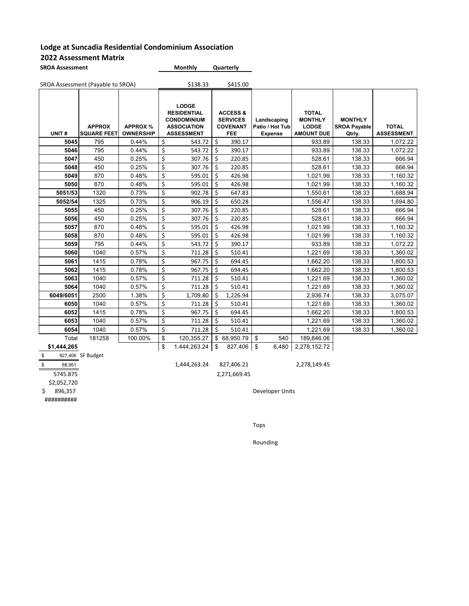#### **2022 Assessment Matrix**

| <b>SROA Assessment</b> | <b>Monthly</b> | Quarterly |
|------------------------|----------------|-----------|
|                        |                |           |

| SROA Assessment (Payable to SROA) |                                     | \$138.33                            |                                                                                                     | \$415.00 |                                                                         |                                                  |                                                                     |                                                 |                                   |
|-----------------------------------|-------------------------------------|-------------------------------------|-----------------------------------------------------------------------------------------------------|----------|-------------------------------------------------------------------------|--------------------------------------------------|---------------------------------------------------------------------|-------------------------------------------------|-----------------------------------|
| UNIT#                             | <b>APPROX</b><br><b>SQUARE FEET</b> | <b>APPROX %</b><br><b>OWNERSHIP</b> | <b>LODGE</b><br><b>RESIDENTIAL</b><br><b>CONDOMINIUM</b><br><b>ASSOCIATION</b><br><b>ASSESSMENT</b> |          | <b>ACCESS &amp;</b><br><b>SERVICES</b><br><b>COVENANT</b><br><b>FEE</b> | Landscaping<br>Patio / Hot Tub<br><b>Expense</b> | <b>TOTAL</b><br><b>MONTHLY</b><br><b>LODGE</b><br><b>AMOUNT DUE</b> | <b>MONTHLY</b><br><b>SROA Payable</b><br>Qtrly. | <b>TOTAL</b><br><b>ASSESSMENT</b> |
| 5045                              | 795                                 | 0.44%                               | \$<br>543.72                                                                                        | \$       | 390.17                                                                  |                                                  | 933.89                                                              | 138.33                                          | 1,072.22                          |
| 5046                              | 795                                 | 0.44%                               | \$<br>543.72                                                                                        | \$       | 390.17                                                                  |                                                  | 933.89                                                              | 138.33                                          | 1,072.22                          |
| 5047                              | 450                                 | 0.25%                               | \$<br>307.76                                                                                        | \$       | 220.85                                                                  |                                                  | 528.61                                                              | 138.33                                          | 666.94                            |
| 5048                              | 450                                 | 0.25%                               | \$<br>307.76                                                                                        | Ś        | 220.85                                                                  |                                                  | 528.61                                                              | 138.33                                          | 666.94                            |
| 5049                              | 870                                 | 0.48%                               | \$<br>595.01                                                                                        | Ś        | 426.98                                                                  |                                                  | 1,021.99                                                            | 138.33                                          | 1,160.32                          |
| 5050                              | 870                                 | 0.48%                               | \$<br>595.01                                                                                        | \$       | 426.98                                                                  |                                                  | 1,021.99                                                            | 138.33                                          | 1,160.32                          |
| 5051/53                           | 1320                                | 0.73%                               | \$<br>902.78                                                                                        | \$       | 647.83                                                                  |                                                  | 1,550.61                                                            | 138.33                                          | 1,688.94                          |
| 5052/54                           | 1325                                | 0.73%                               | \$<br>906.19                                                                                        | \$       | 650.28                                                                  |                                                  | 1,556.47                                                            | 138.33                                          | 1,694.80                          |
| 5055                              | 450                                 | 0.25%                               | \$<br>307.76                                                                                        | \$       | 220.85                                                                  |                                                  | 528.61                                                              | 138.33                                          | 666.94                            |
| 5056                              | 450                                 | 0.25%                               | \$<br>307.76                                                                                        | \$       | 220.85                                                                  |                                                  | 528.61                                                              | 138.33                                          | 666.94                            |
| 5057                              | 870                                 | 0.48%                               | \$<br>595.01                                                                                        | \$       | 426.98                                                                  |                                                  | 1,021.99                                                            | 138.33                                          | 1,160.32                          |
| 5058                              | 870                                 | 0.48%                               | \$<br>595.01                                                                                        | Ś        | 426.98                                                                  |                                                  | 1,021.99                                                            | 138.33                                          | 1,160.32                          |
| 5059                              | 795                                 | 0.44%                               | \$<br>543.72                                                                                        | \$       | 390.17                                                                  |                                                  | 933.89                                                              | 138.33                                          | 1,072.22                          |
| 5060                              | 1040                                | 0.57%                               | \$<br>711.28                                                                                        | \$       | 510.41                                                                  |                                                  | 1,221.69                                                            | 138.33                                          | 1,360.02                          |
| 5061                              | 1415                                | 0.78%                               | \$<br>967.75                                                                                        | Ś        | 694.45                                                                  |                                                  | 1,662.20                                                            | 138.33                                          | 1,800.53                          |
| 5062                              | 1415                                | 0.78%                               | \$<br>967.75                                                                                        | Ś        | 694.45                                                                  |                                                  | 1,662.20                                                            | 138.33                                          | 1,800.53                          |
| 5063                              | 1040                                | 0.57%                               | \$<br>711.28                                                                                        | \$       | 510.41                                                                  |                                                  | 1,221.69                                                            | 138.33                                          | 1,360.02                          |
| 5064                              | 1040                                | 0.57%                               | \$<br>711.28                                                                                        | Ś.       | 510.41                                                                  |                                                  | 1,221.69                                                            | 138.33                                          | 1,360.02                          |
| 6049/6051                         | 2500                                | 1.38%                               | \$<br>1,709.80                                                                                      | Ś.       | 1,226.94                                                                |                                                  | 2,936.74                                                            | 138.33                                          | 3,075.07                          |
| 6050                              | 1040                                | 0.57%                               | \$<br>711.28                                                                                        | \$       | 510.41                                                                  |                                                  | 1,221.69                                                            | 138.33                                          | 1,360.02                          |
| 6052                              | 1415                                | 0.78%                               | \$<br>967.75                                                                                        | Ś        | 694.45                                                                  |                                                  | 1,662.20                                                            | 138.33                                          | 1,800.53                          |
| 6053                              | 1040                                | 0.57%                               | \$<br>711.28                                                                                        | \$       | 510.41                                                                  |                                                  | 1,221.69                                                            | 138.33                                          | 1,360.02                          |
| 6054                              | 1040                                | 0.57%                               | \$<br>711.28                                                                                        | Ś        | 510.41                                                                  |                                                  | 1,221.69                                                            | 138.33                                          | 1,360.02                          |
| Total                             | 181258                              | 100.00%                             | \$<br>120,355.27                                                                                    |          | \$68,950.79                                                             | \$<br>540                                        | 189,846.06                                                          |                                                 |                                   |
| \$1,444,265                       |                                     |                                     | \$<br>1,444,263.24                                                                                  | \$       | 827,406                                                                 | \$<br>6,480                                      | 2,278,152.72                                                        |                                                 |                                   |

 $\frac{$8 \times 827,406}{$68,951}$  SF Budget

5745.875 2,271,669.45

\$2,052,720<br>\$ 896,357

##########

\$ 68,951 1,444,263.24 827,406.21 2,278,149.45

Developer Units

Tops

Rounding